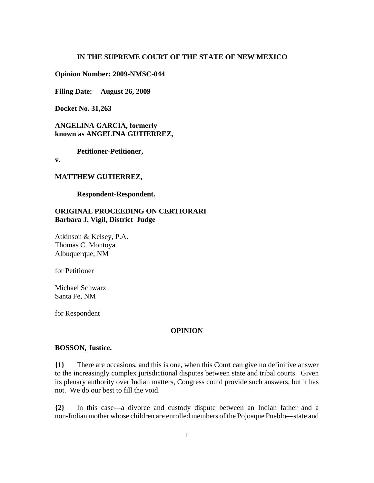# **IN THE SUPREME COURT OF THE STATE OF NEW MEXICO**

**Opinion Number: 2009-NMSC-044** 

**Filing Date: August 26, 2009**

**Docket No. 31,263**

**ANGELINA GARCIA, formerly known as ANGELINA GUTIERREZ,**

**Petitioner-Petitioner,**

**v.**

#### **MATTHEW GUTIERREZ,**

**Respondent-Respondent.**

# **ORIGINAL PROCEEDING ON CERTIORARI Barbara J. Vigil, District Judge**

Atkinson & Kelsey, P.A. Thomas C. Montoya Albuquerque, NM

for Petitioner

Michael Schwarz Santa Fe, NM

for Respondent

### **OPINION**

#### **BOSSON, Justice.**

**{1}** There are occasions, and this is one, when this Court can give no definitive answer to the increasingly complex jurisdictional disputes between state and tribal courts. Given its plenary authority over Indian matters, Congress could provide such answers, but it has not. We do our best to fill the void.

**{2}** In this case—a divorce and custody dispute between an Indian father and a non-Indian mother whose children are enrolled members of the Pojoaque Pueblo—state and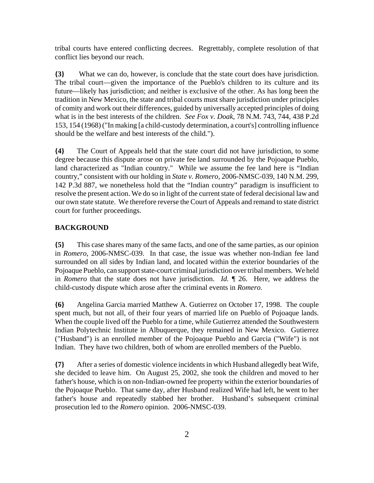tribal courts have entered conflicting decrees. Regrettably, complete resolution of that conflict lies beyond our reach.

**{3}** What we can do, however, is conclude that the state court does have jurisdiction. The tribal court—given the importance of the Pueblo's children to its culture and its future—likely has jurisdiction; and neither is exclusive of the other. As has long been the tradition in New Mexico, the state and tribal courts must share jurisdiction under principles of comity and work out their differences, guided by universally accepted principles of doing what is in the best interests of the children. *See Fox v. Doak*, 78 N.M. 743, 744, 438 P.2d 153, 154 (1968) ("In making [a child-custody determination, a court's] controlling influence should be the welfare and best interests of the child.").

**{4}** The Court of Appeals held that the state court did not have jurisdiction, to some degree because this dispute arose on private fee land surrounded by the Pojoaque Pueblo, land characterized as "Indian country." While we assume the fee land here is "Indian country," consistent with our holding in *State v. Romero*, 2006-NMSC-039, 140 N.M. 299, 142 P.3d 887, we nonetheless hold that the "Indian country" paradigm is insufficient to resolve the present action. We do so in light of the current state of federal decisional law and our own state statute. We therefore reverse the Court of Appeals and remand to state district court for further proceedings.

# **BACKGROUND**

**{5}** This case shares many of the same facts, and one of the same parties, as our opinion in *Romero*, 2006-NMSC-039. In that case, the issue was whether non-Indian fee land surrounded on all sides by Indian land, and located within the exterior boundaries of the Pojoaque Pueblo, can support state-court criminal jurisdiction over tribal members. We held in *Romero* that the state does not have jurisdiction. *Id.* ¶ 26. Here, we address the child-custody dispute which arose after the criminal events in *Romero*.

**{6}** Angelina Garcia married Matthew A. Gutierrez on October 17, 1998. The couple spent much, but not all, of their four years of married life on Pueblo of Pojoaque lands. When the couple lived off the Pueblo for a time, while Gutierrez attended the Southwestern Indian Polytechnic Institute in Albuquerque, they remained in New Mexico. Gutierrez ("Husband") is an enrolled member of the Pojoaque Pueblo and Garcia ("Wife") is not Indian. They have two children, both of whom are enrolled members of the Pueblo.

**{7}** After a series of domestic violence incidents in which Husband allegedly beat Wife, she decided to leave him. On August 25, 2002, she took the children and moved to her father's house, which is on non-Indian-owned fee property within the exterior boundaries of the Pojoaque Pueblo. That same day, after Husband realized Wife had left, he went to her father's house and repeatedly stabbed her brother. Husband's subsequent criminal prosecution led to the *Romero* opinion. 2006-NMSC-039.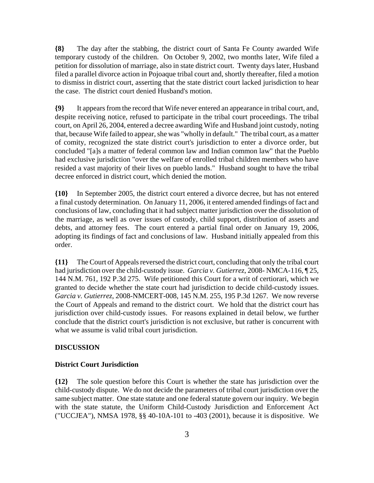**{8}** The day after the stabbing, the district court of Santa Fe County awarded Wife temporary custody of the children. On October 9, 2002, two months later, Wife filed a petition for dissolution of marriage, also in state district court. Twenty days later, Husband filed a parallel divorce action in Pojoaque tribal court and, shortly thereafter, filed a motion to dismiss in district court, asserting that the state district court lacked jurisdiction to hear the case. The district court denied Husband's motion.

**{9}** It appears from the record that Wife never entered an appearance in tribal court, and, despite receiving notice, refused to participate in the tribal court proceedings. The tribal court, on April 26, 2004, entered a decree awarding Wife and Husband joint custody, noting that, because Wife failed to appear, she was "wholly in default." The tribal court, as a matter of comity, recognized the state district court's jurisdiction to enter a divorce order, but concluded "[a]s a matter of federal common law and Indian common law" that the Pueblo had exclusive jurisdiction "over the welfare of enrolled tribal children members who have resided a vast majority of their lives on pueblo lands." Husband sought to have the tribal decree enforced in district court, which denied the motion.

**{10}** In September 2005, the district court entered a divorce decree, but has not entered a final custody determination. On January 11, 2006, it entered amended findings of fact and conclusions of law, concluding that it had subject matter jurisdiction over the dissolution of the marriage, as well as over issues of custody, child support, distribution of assets and debts, and attorney fees. The court entered a partial final order on January 19, 2006, adopting its findings of fact and conclusions of law. Husband initially appealed from this order.

**{11}** The Court of Appeals reversed the district court, concluding that only the tribal court had jurisdiction over the child-custody issue. *Garcia v. Gutierrez*, 2008- NMCA-116, ¶ 25, 144 N.M. 761, 192 P.3d 275. Wife petitioned this Court for a writ of certiorari, which we granted to decide whether the state court had jurisdiction to decide child-custody issues. *Garcia v. Gutierrez*, 2008-NMCERT-008, 145 N.M. 255, 195 P.3d 1267. We now reverse the Court of Appeals and remand to the district court. We hold that the district court has jurisdiction over child-custody issues. For reasons explained in detail below, we further conclude that the district court's jurisdiction is not exclusive, but rather is concurrent with what we assume is valid tribal court jurisdiction.

#### **DISCUSSION**

# **District Court Jurisdiction**

**{12}** The sole question before this Court is whether the state has jurisdiction over the child-custody dispute. We do not decide the parameters of tribal court jurisdiction over the same subject matter. One state statute and one federal statute govern our inquiry. We begin with the state statute, the Uniform Child-Custody Jurisdiction and Enforcement Act ("UCCJEA"), NMSA 1978, §§ 40-10A-101 to -403 (2001), because it is dispositive. We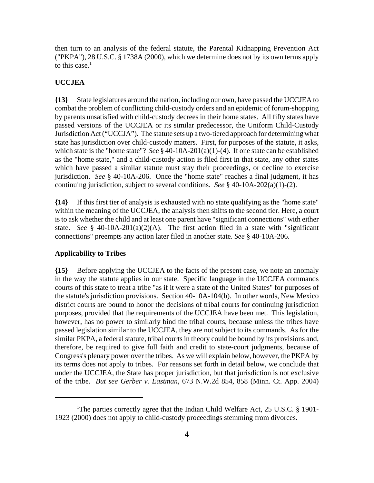then turn to an analysis of the federal statute, the Parental Kidnapping Prevention Act ("PKPA"), 28 U.S.C. § 1738A (2000), which we determine does not by its own terms apply to this case. $<sup>1</sup>$ </sup>

### **UCCJEA**

**{13}** State legislatures around the nation, including our own, have passed the UCCJEA to combat the problem of conflicting child-custody orders and an epidemic of forum-shopping by parents unsatisfied with child-custody decrees in their home states. All fifty states have passed versions of the UCCJEA or its similar predecessor, the Uniform Child-Custody Jurisdiction Act ("UCCJA"). The statute sets up a two-tiered approach for determining what state has jurisdiction over child-custody matters. First, for purposes of the statute, it asks, which state is the "home state"? *See* § 40-10A-201(a)(1)-(4). If one state can be established as the "home state," and a child-custody action is filed first in that state, any other states which have passed a similar statute must stay their proceedings, or decline to exercise jurisdiction. *See* § 40-10A-206. Once the "home state" reaches a final judgment, it has continuing jurisdiction, subject to several conditions. *See* § 40-10A-202(a)(1)-(2).

**{14}** If this first tier of analysis is exhausted with no state qualifying as the "home state" within the meaning of the UCCJEA, the analysis then shifts to the second tier. Here, a court is to ask whether the child and at least one parent have "significant connections" with either state. *See* § 40-10A-201(a)(2)(A). The first action filed in a state with "significant connections" preempts any action later filed in another state. *See* § 40-10A-206.

# **Applicability to Tribes**

**{15}** Before applying the UCCJEA to the facts of the present case, we note an anomaly in the way the statute applies in our state. Specific language in the UCCJEA commands courts of this state to treat a tribe "as if it were a state of the United States" for purposes of the statute's jurisdiction provisions. Section 40-10A-104(b). In other words, New Mexico district courts are bound to honor the decisions of tribal courts for continuing jurisdiction purposes, provided that the requirements of the UCCJEA have been met. This legislation, however, has no power to similarly bind the tribal courts, because unless the tribes have passed legislation similar to the UCCJEA, they are not subject to its commands. As for the similar PKPA, a federal statute, tribal courts in theory could be bound by its provisions and, therefore, be required to give full faith and credit to state-court judgments, because of Congress's plenary power over the tribes. As we will explain below, however, the PKPA by its terms does not apply to tribes. For reasons set forth in detail below, we conclude that under the UCCJEA, the State has proper jurisdiction, but that jurisdiction is not exclusive of the tribe. *But see Gerber v. Eastman*, 673 N.W.2d 854, 858 (Minn. Ct. App. 2004)

<sup>&</sup>lt;sup>1</sup>The parties correctly agree that the Indian Child Welfare Act, 25 U.S.C. § 1901-1923 (2000) does not apply to child-custody proceedings stemming from divorces.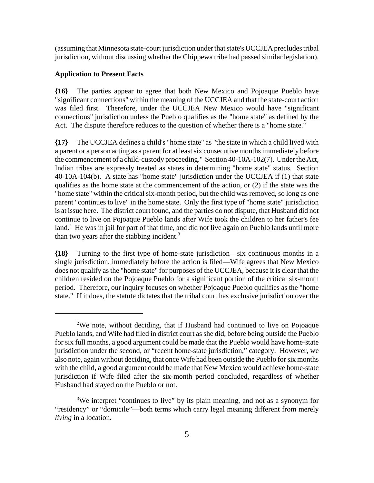(assuming that Minnesota state-court jurisdiction under that state's UCCJEA precludes tribal jurisdiction, without discussing whether the Chippewa tribe had passed similar legislation).

# **Application to Present Facts**

**{16}** The parties appear to agree that both New Mexico and Pojoaque Pueblo have "significant connections" within the meaning of the UCCJEA and that the state-court action was filed first. Therefore, under the UCCJEA New Mexico would have "significant connections" jurisdiction unless the Pueblo qualifies as the "home state" as defined by the Act. The dispute therefore reduces to the question of whether there is a "home state."

**{17}** The UCCJEA defines a child's "home state" as "the state in which a child lived with a parent or a person acting as a parent for at least six consecutive months immediately before the commencement of a child-custody proceeding." Section 40-10A-102(7). Under the Act, Indian tribes are expressly treated as states in determining "home state" status. Section 40-10A-104(b). A state has "home state" jurisdiction under the UCCJEA if (1) that state qualifies as the home state at the commencement of the action, or  $(2)$  if the state was the "home state" within the critical six-month period, but the child was removed, so long as one parent "continues to live" in the home state. Only the first type of "home state" jurisdiction is at issue here. The district court found, and the parties do not dispute, that Husband did not continue to live on Pojoaque Pueblo lands after Wife took the children to her father's fee land.<sup>2</sup> He was in jail for part of that time, and did not live again on Pueblo lands until more than two years after the stabbing incident. $3$ 

**{18}** Turning to the first type of home-state jurisdiction—six continuous months in a single jurisdiction, immediately before the action is filed—Wife agrees that New Mexico does not qualify as the "home state" for purposes of the UCCJEA, because it is clear that the children resided on the Pojoaque Pueblo for a significant portion of the critical six-month period. Therefore, our inquiry focuses on whether Pojoaque Pueblo qualifies as the "home state." If it does, the statute dictates that the tribal court has exclusive jurisdiction over the

<sup>&</sup>lt;sup>2</sup>We note, without deciding, that if Husband had continued to live on Pojoaque Pueblo lands, and Wife had filed in district court as she did, before being outside the Pueblo for six full months, a good argument could be made that the Pueblo would have home-state jurisdiction under the second, or "recent home-state jurisdiction," category. However, we also note, again without deciding, that once Wife had been outside the Pueblo for six months with the child, a good argument could be made that New Mexico would achieve home-state jurisdiction if Wife filed after the six-month period concluded, regardless of whether Husband had stayed on the Pueblo or not.

<sup>&</sup>lt;sup>3</sup>We interpret "continues to live" by its plain meaning, and not as a synonym for "residency" or "domicile"—both terms which carry legal meaning different from merely *living* in a location.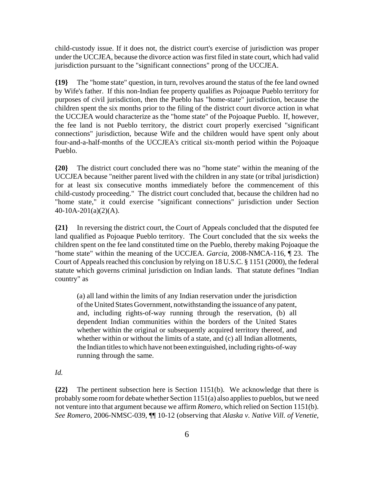child-custody issue. If it does not, the district court's exercise of jurisdiction was proper under the UCCJEA, because the divorce action was first filed in state court, which had valid jurisdiction pursuant to the "significant connections" prong of the UCCJEA.

**{19}** The "home state" question, in turn, revolves around the status of the fee land owned by Wife's father. If this non-Indian fee property qualifies as Pojoaque Pueblo territory for purposes of civil jurisdiction, then the Pueblo has "home-state" jurisdiction, because the children spent the six months prior to the filing of the district court divorce action in what the UCCJEA would characterize as the "home state" of the Pojoaque Pueblo. If, however, the fee land is not Pueblo territory, the district court properly exercised "significant connections" jurisdiction, because Wife and the children would have spent only about four-and-a-half-months of the UCCJEA's critical six-month period within the Pojoaque Pueblo.

**{20}** The district court concluded there was no "home state" within the meaning of the UCCJEA because "neither parent lived with the children in any state (or tribal jurisdiction) for at least six consecutive months immediately before the commencement of this child-custody proceeding." The district court concluded that, because the children had no "home state," it could exercise "significant connections" jurisdiction under Section 40-10A-201(a)(2)(A).

**{21}** In reversing the district court, the Court of Appeals concluded that the disputed fee land qualified as Pojoaque Pueblo territory. The Court concluded that the six weeks the children spent on the fee land constituted time on the Pueblo, thereby making Pojoaque the "home state" within the meaning of the UCCJEA. *Garcia*, 2008-NMCA-116, ¶ 23. The Court of Appeals reached this conclusion by relying on 18 U.S.C. § 1151 (2000), the federal statute which governs criminal jurisdiction on Indian lands. That statute defines "Indian country" as

(a) all land within the limits of any Indian reservation under the jurisdiction of the United States Government, notwithstanding the issuance of any patent, and, including rights-of-way running through the reservation, (b) all dependent Indian communities within the borders of the United States whether within the original or subsequently acquired territory thereof, and whether within or without the limits of a state, and (c) all Indian allotments, the Indian titles to which have not been extinguished, including rights-of-way running through the same.

*Id.*

**{22}** The pertinent subsection here is Section 1151(b). We acknowledge that there is probably some room for debate whether Section 1151(a) also applies to pueblos, but we need not venture into that argument because we affirm *Romero*, which relied on Section 1151(b). *See Romero*, 2006-NMSC-039, ¶¶ 10-12 (observing that *Alaska v. Native Vill. of Venetie*,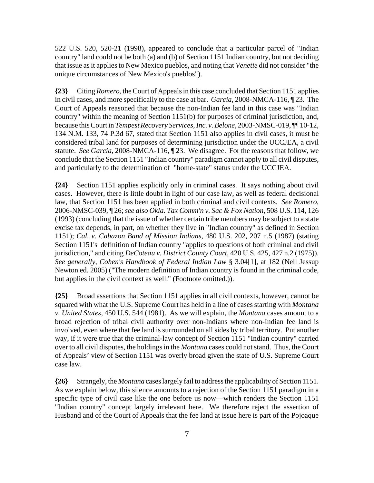522 U.S. 520, 520-21 (1998), appeared to conclude that a particular parcel of "Indian country" land could not be both (a) and (b) of Section 1151 Indian country, but not deciding that issue as it applies to New Mexico pueblos, and noting that *Venetie* did not consider "the unique circumstances of New Mexico's pueblos").

**{23}** Citing *Romero*, the Court of Appeals in this case concluded that Section 1151 applies in civil cases, and more specifically to the case at bar. *Garcia*, 2008-NMCA-116, ¶ 23. The Court of Appeals reasoned that because the non-Indian fee land in this case was "Indian country" within the meaning of Section 1151(b) for purposes of criminal jurisdiction, and, because this Court in *Tempest Recovery Services, Inc. v. Belone*, 2003-NMSC-019, ¶¶ 10-12, 134 N.M. 133, 74 P.3d 67, stated that Section 1151 also applies in civil cases, it must be considered tribal land for purposes of determining jurisdiction under the UCCJEA, a civil statute. *See Garcia*, 2008-NMCA-116, ¶ 23. We disagree. For the reasons that follow, we conclude that the Section 1151 "Indian country" paradigm cannot apply to all civil disputes, and particularly to the determination of "home-state" status under the UCCJEA.

**{24}** Section 1151 applies explicitly only in criminal cases. It says nothing about civil cases. However, there is little doubt in light of our case law, as well as federal decisional law, that Section 1151 has been applied in both criminal and civil contexts. *See Romero*, 2006-NMSC-039, ¶ 26; *see also Okla. Tax Comm'n v. Sac & Fox Nation*, 508 U.S. 114, 126 (1993) (concluding that the issue of whether certain tribe members may be subject to a state excise tax depends, in part, on whether they live in "Indian country" as defined in Section 1151); *Cal. v. Cabazon Band of Mission Indians*, 480 U.S. 202, 207 n.5 (1987) (stating Section 1151's definition of Indian country "applies to questions of both criminal and civil jurisdiction," and citing *DeCoteau v. District County Court*, 420 U.S. 425, 427 n.2 (1975)). *See generally*, *Cohen's Handbook of Federal Indian Law* § 3.04[1], at 182 (Nell Jessup Newton ed. 2005) ("The modern definition of Indian country is found in the criminal code, but applies in the civil context as well." (Footnote omitted.)).

**{25}** Broad assertions that Section 1151 applies in all civil contexts, however, cannot be squared with what the U.S. Supreme Court has held in a line of cases starting with *Montana v. United States*, 450 U.S. 544 (1981). As we will explain, the *Montana* cases amount to a broad rejection of tribal civil authority over non-Indians where non-Indian fee land is involved, even where that fee land is surrounded on all sides by tribal territory. Put another way, if it were true that the criminal-law concept of Section 1151 "Indian country" carried over to all civil disputes, the holdings in the *Montana* cases could not stand. Thus, the Court of Appeals' view of Section 1151 was overly broad given the state of U.S. Supreme Court case law.

**{26}** Strangely, the *Montana* cases largely fail to address the applicability of Section 1151. As we explain below, this silence amounts to a rejection of the Section 1151 paradigm in a specific type of civil case like the one before us now—which renders the Section 1151 "Indian country" concept largely irrelevant here. We therefore reject the assertion of Husband and of the Court of Appeals that the fee land at issue here is part of the Pojoaque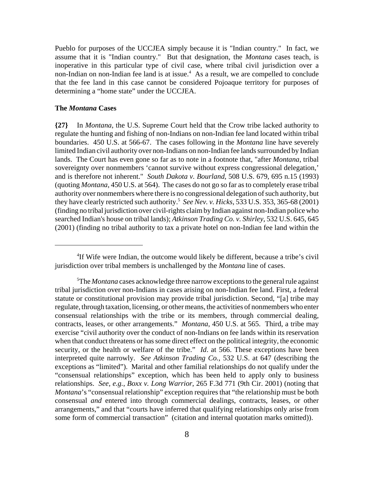Pueblo for purposes of the UCCJEA simply because it is "Indian country." In fact, we assume that it is "Indian country." But that designation, the *Montana* cases teach, is inoperative in this particular type of civil case, where tribal civil jurisdiction over a non-Indian on non-Indian fee land is at issue.<sup>4</sup> As a result, we are compelled to conclude that the fee land in this case cannot be considered Pojoaque territory for purposes of determining a "home state" under the UCCJEA.

#### **The** *Montana* **Cases**

**{27}** In *Montana*, the U.S. Supreme Court held that the Crow tribe lacked authority to regulate the hunting and fishing of non-Indians on non-Indian fee land located within tribal boundaries. 450 U.S. at 566-67. The cases following in the *Montana* line have severely limited Indian civil authority over non-Indians on non-Indian fee lands surrounded by Indian lands. The Court has even gone so far as to note in a footnote that, "after *Montana*, tribal sovereignty over nonmembers 'cannot survive without express congressional delegation,' and is therefore not inherent." *South Dakota v. Bourland*, 508 U.S. 679, 695 n.15 (1993) (quoting *Montana*, 450 U.S. at 564). The cases do not go so far as to completely erase tribal authority over nonmembers where there is no congressional delegation of such authority, but they have clearly restricted such authority.5 *See Nev. v. Hicks*, 533 U.S. 353, 365-68 (2001) (finding no tribal jurisdiction over civil-rights claim by Indian against non-Indian police who searched Indian's house on tribal lands); *Atkinson Trading Co. v. Shirley*, 532 U.S. 645, 645 (2001) (finding no tribal authority to tax a private hotel on non-Indian fee land within the

<sup>&</sup>lt;sup>4</sup>If Wife were Indian, the outcome would likely be different, because a tribe's civil jurisdiction over tribal members is unchallenged by the *Montana* line of cases.

<sup>5</sup> The *Montana* cases acknowledge three narrow exceptions to the general rule against tribal jurisdiction over non-Indians in cases arising on non-Indian fee land. First, a federal statute or constitutional provision may provide tribal jurisdiction. Second, "[a] tribe may regulate, through taxation, licensing, or other means, the activities of nonmembers who enter consensual relationships with the tribe or its members, through commercial dealing, contracts, leases, or other arrangements." *Montana*, 450 U.S. at 565. Third, a tribe may exercise "civil authority over the conduct of non-Indians on fee lands within its reservation when that conduct threatens or has some direct effect on the political integrity, the economic security, or the health or welfare of the tribe." *Id*. at 566. These exceptions have been interpreted quite narrowly. *See Atkinson Trading Co.*, 532 U.S. at 647 (describing the exceptions as "limited"). Marital and other familial relationships do not qualify under the "consensual relationships" exception, which has been held to apply only to business relationships. *See, e.g.*, *Boxx v. Long Warrior*, 265 F.3d 771 (9th Cir. 2001) (noting that *Montana*'s "consensual relationship" exception requires that "the relationship must be both consensual *and* entered into through commercial dealings, contracts, leases, or other arrangements," and that "courts have inferred that qualifying relationships only arise from some form of commercial transaction" (citation and internal quotation marks omitted)).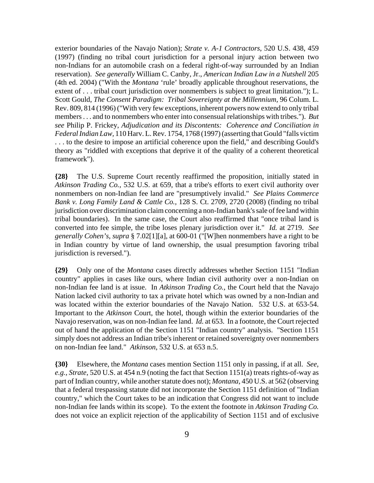exterior boundaries of the Navajo Nation); *Strate v. A-1 Contractors*, 520 U.S. 438, 459 (1997) (finding no tribal court jurisdiction for a personal injury action between two non-Indians for an automobile crash on a federal right-of-way surrounded by an Indian reservation). *See generally* William C. Canby, Jr., *American Indian Law in a Nutshell* 205 (4th ed. 2004) ("With the *Montana* 'rule' broadly applicable throughout reservations, the extent of . . . tribal court jurisdiction over nonmembers is subject to great limitation."); L. Scott Gould, *The Consent Paradigm: Tribal Sovereignty at the Millennium,* 96 Colum. L. Rev. 809, 814 (1996) ("With very few exceptions, inherent powers now extend to only tribal members . . . and to nonmembers who enter into consensual relationships with tribes."). *But see* Philip P. Frickey, *Adjudication and its Discontents: Coherence and Conciliation in Federal Indian Law,* 110 Harv. L. Rev. 1754, 1768 (1997) (asserting that Gould "falls victim . . . to the desire to impose an artificial coherence upon the field," and describing Gould's theory as "riddled with exceptions that deprive it of the quality of a coherent theoretical framework").

**{28}** The U.S. Supreme Court recently reaffirmed the proposition, initially stated in *Atkinson Trading Co.*, 532 U.S. at 659, that a tribe's efforts to exert civil authority over nonmembers on non-Indian fee land are "presumptively invalid." *See Plains Commerce Bank v. Long Family Land & Cattle Co.*, 128 S. Ct. 2709, 2720 (2008) (finding no tribal jurisdiction over discrimination claim concerning a non-Indian bank's sale of fee land within tribal boundaries). In the same case, the Court also reaffirmed that "once tribal land is converted into fee simple, the tribe loses plenary jurisdiction over it." *Id.* at 2719. *See generally Cohen's*, *supra* § 7.02[1][a], at 600-01 ("[W]hen nonmembers have a right to be in Indian country by virtue of land ownership, the usual presumption favoring tribal jurisdiction is reversed.").

**{29}** Only one of the *Montana* cases directly addresses whether Section 1151 "Indian country" applies in cases like ours, where Indian civil authority over a non-Indian on non-Indian fee land is at issue. In *Atkinson Trading Co.*, the Court held that the Navajo Nation lacked civil authority to tax a private hotel which was owned by a non-Indian and was located within the exterior boundaries of the Navajo Nation. 532 U.S. at 653-54. Important to the *Atkinson* Court, the hotel, though within the exterior boundaries of the Navajo reservation, was on non-Indian fee land. *Id.* at 653. In a footnote, the Court rejected out of hand the application of the Section 1151 "Indian country" analysis. "Section 1151 simply does not address an Indian tribe's inherent or retained sovereignty over nonmembers on non-Indian fee land." *Atkinson*, 532 U.S. at 653 n.5.

**{30}** Elsewhere, the *Montana* cases mention Section 1151 only in passing, if at all. *See, e.g., Strate*, 520 U.S. at 454 n.9 (noting the fact that Section 1151(a) treats rights-of-way as part of Indian country, while another statute does not); *Montana*, 450 U.S. at 562 (observing that a federal trespassing statute did not incorporate the Section 1151 definition of "Indian country," which the Court takes to be an indication that Congress did not want to include non-Indian fee lands within its scope). To the extent the footnote in *Atkinson Trading Co.* does not voice an explicit rejection of the applicability of Section 1151 and of exclusive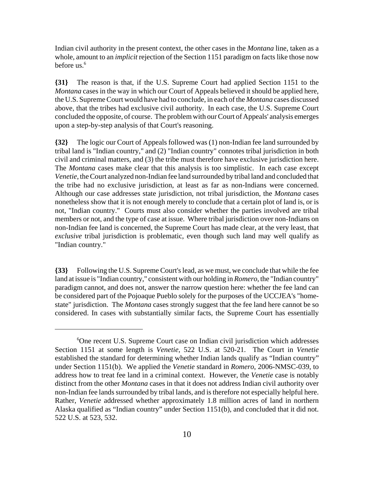Indian civil authority in the present context, the other cases in the *Montana* line, taken as a whole, amount to an *implicit* rejection of the Section 1151 paradigm on facts like those now before us.<sup>6</sup>

**{31}** The reason is that, if the U.S. Supreme Court had applied Section 1151 to the *Montana* cases in the way in which our Court of Appeals believed it should be applied here, the U.S. Supreme Court would have had to conclude, in each of the *Montana* cases discussed above, that the tribes had exclusive civil authority. In each case, the U.S. Supreme Court concluded the opposite, of course. The problem with our Court of Appeals' analysis emerges upon a step-by-step analysis of that Court's reasoning.

**{32}** The logic our Court of Appeals followed was (1) non-Indian fee land surrounded by tribal land is "Indian country," and (2) "Indian country" connotes tribal jurisdiction in both civil and criminal matters, and (3) the tribe must therefore have exclusive jurisdiction here. The *Montana* cases make clear that this analysis is too simplistic. In each case except *Venetie*, the Court analyzed non-Indian fee land surrounded by tribal land and concluded that the tribe had no exclusive jurisdiction, at least as far as non-Indians were concerned. Although our case addresses state jurisdiction, not tribal jurisdiction, the *Montana* cases nonetheless show that it is not enough merely to conclude that a certain plot of land is, or is not, "Indian country." Courts must also consider whether the parties involved are tribal members or not, and the type of case at issue. Where tribal jurisdiction over non-Indians on non-Indian fee land is concerned, the Supreme Court has made clear, at the very least, that *exclusive* tribal jurisdiction is problematic, even though such land may well qualify as "Indian country."

**{33}** Following the U.S. Supreme Court's lead, as we must, we conclude that while the fee land at issue is "Indian country," consistent with our holding in *Romero*, the "Indian country" paradigm cannot, and does not, answer the narrow question here: whether the fee land can be considered part of the Pojoaque Pueblo solely for the purposes of the UCCJEA's "homestate" jurisdiction. The *Montana* cases strongly suggest that the fee land here cannot be so considered. In cases with substantially similar facts, the Supreme Court has essentially

<sup>6</sup> One recent U.S. Supreme Court case on Indian civil jurisdiction which addresses Section 1151 at some length is *Venetie*, 522 U.S. at 520-21. The Court in *Venetie* established the standard for determining whether Indian lands qualify as "Indian country" under Section 1151(b). We applied the *Venetie* standard in *Romero*, 2006-NMSC-039, to address how to treat fee land in a criminal context. However, the *Venetie* case is notably distinct from the other *Montana* cases in that it does not address Indian civil authority over non-Indian fee lands surrounded by tribal lands, and is therefore not especially helpful here. Rather, *Venetie* addressed whether approximately 1.8 million acres of land in northern Alaska qualified as "Indian country" under Section 1151(b), and concluded that it did not. 522 U.S. at 523, 532.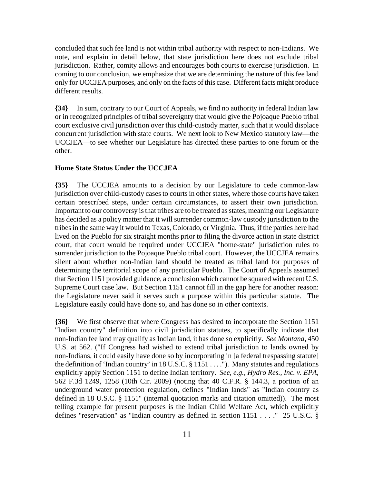concluded that such fee land is not within tribal authority with respect to non-Indians. We note, and explain in detail below, that state jurisdiction here does not exclude tribal jurisdiction. Rather, comity allows and encourages both courts to exercise jurisdiction. In coming to our conclusion, we emphasize that we are determining the nature of this fee land only for UCCJEA purposes, and only on the facts of this case. Different facts might produce different results.

**{34}** In sum, contrary to our Court of Appeals, we find no authority in federal Indian law or in recognized principles of tribal sovereignty that would give the Pojoaque Pueblo tribal court exclusive civil jurisdiction over this child-custody matter, such that it would displace concurrent jurisdiction with state courts. We next look to New Mexico statutory law—the UCCJEA—to see whether our Legislature has directed these parties to one forum or the other.

# **Home State Status Under the UCCJEA**

**{35}** The UCCJEA amounts to a decision by our Legislature to cede common-law jurisdiction over child-custody cases to courts in other states, where those courts have taken certain prescribed steps, under certain circumstances, to assert their own jurisdiction. Important to our controversy is that tribes are to be treated as states, meaning our Legislature has decided as a policy matter that it will surrender common-law custody jurisdiction to the tribes in the same way it would to Texas, Colorado, or Virginia. Thus, if the parties here had lived on the Pueblo for six straight months prior to filing the divorce action in state district court, that court would be required under UCCJEA "home-state" jurisdiction rules to surrender jurisdiction to the Pojoaque Pueblo tribal court. However, the UCCJEA remains silent about whether non-Indian land should be treated as tribal land for purposes of determining the territorial scope of any particular Pueblo. The Court of Appeals assumed that Section 1151 provided guidance, a conclusion which cannot be squared with recent U.S. Supreme Court case law. But Section 1151 cannot fill in the gap here for another reason: the Legislature never said it serves such a purpose within this particular statute. The Legislature easily could have done so, and has done so in other contexts.

**{36}** We first observe that where Congress has desired to incorporate the Section 1151 "Indian country" definition into civil jurisdiction statutes, to specifically indicate that non-Indian fee land may qualify as Indian land, it has done so explicitly. *See Montana*, 450 U.S. at 562. ("If Congress had wished to extend tribal jurisdiction to lands owned by non-Indians, it could easily have done so by incorporating in [a federal trespassing statute] the definition of 'Indian country' in 18 U.S.C. § 1151 . . . ."). Many statutes and regulations explicitly apply Section 1151 to define Indian territory. *See, e.g., Hydro Res., Inc. v. EPA*, 562 F.3d 1249, 1258 (10th Cir. 2009) (noting that 40 C.F.R. § 144.3, a portion of an underground water protection regulation, defines "Indian lands" as "Indian country as defined in 18 U.S.C. § 1151" (internal quotation marks and citation omitted)). The most telling example for present purposes is the Indian Child Welfare Act, which explicitly defines "reservation" as "Indian country as defined in section 1151 . . . ." 25 U.S.C. §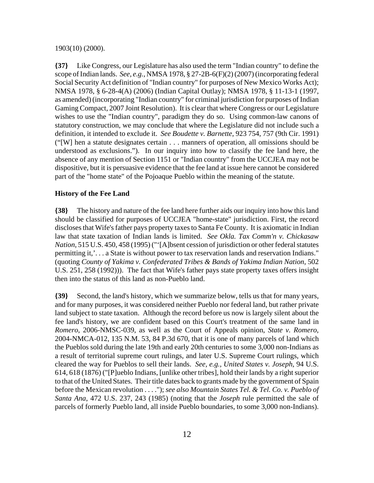#### 1903(10) (2000).

**{37}** Like Congress, our Legislature has also used the term "Indian country" to define the scope of Indian lands. *See, e.g.*, NMSA 1978, § 27-2B-6(F)(2) (2007) (incorporating federal Social Security Act definition of "Indian country" for purposes of New Mexico Works Act); NMSA 1978, § 6-28-4(A) (2006) (Indian Capital Outlay); NMSA 1978, § 11-13-1 (1997, as amended) (incorporating "Indian country" for criminal jurisdiction for purposes of Indian Gaming Compact, 2007 Joint Resolution). It is clear that where Congress or our Legislature wishes to use the "Indian country", paradigm they do so. Using common-law canons of statutory construction, we may conclude that where the Legislature did not include such a definition, it intended to exclude it. *See Boudette v. Barnette*, 923 754, 757 (9th Cir. 1991) ("[W] hen a statute designates certain . . . manners of operation, all omissions should be understood as exclusions."). In our inquiry into how to classify the fee land here, the absence of any mention of Section 1151 or "Indian country" from the UCCJEA may not be dispositive, but it is persuasive evidence that the fee land at issue here cannot be considered part of the "home state" of the Pojoaque Pueblo within the meaning of the statute.

#### **History of the Fee Land**

**{38}** The history and nature of the fee land here further aids our inquiry into how this land should be classified for purposes of UCCJEA "home-state" jurisdiction. First, the record discloses that Wife's father pays property taxes to Santa Fe County. It is axiomatic in Indian law that state taxation of Indian lands is limited. *See Okla. Tax Comm'n v. Chickasaw Nation*, 515 U.S. 450, 458 (1995) ("'[A]bsent cession of jurisdiction or other federal statutes permitting it,'. . . a State is without power to tax reservation lands and reservation Indians." (quoting *County of Yakima v. Confederated Tribes & Bands of Yakima Indian Nation*, 502 U.S. 251, 258 (1992))). The fact that Wife's father pays state property taxes offers insight then into the status of this land as non-Pueblo land.

**{39}** Second, the land's history, which we summarize below, tells us that for many years, and for many purposes, it was considered neither Pueblo nor federal land, but rather private land subject to state taxation. Although the record before us now is largely silent about the fee land's history, we are confident based on this Court's treatment of the same land in *Romero*, 2006-NMSC-039, as well as the Court of Appeals opinion, *State v. Romero*, 2004-NMCA-012, 135 N.M. 53, 84 P.3d 670, that it is one of many parcels of land which the Pueblos sold during the late 19th and early 20th centuries to some 3,000 non-Indians as a result of territorial supreme court rulings, and later U.S. Supreme Court rulings, which cleared the way for Pueblos to sell their lands. *See, e.g., United States v. Joseph*, 94 U.S. 614, 618 (1876) ("[P]ueblo Indians, [unlike other tribes], hold their lands by a right superior to that of the United States. Their title dates back to grants made by the government of Spain before the Mexican revolution . . . ."); *see also Mountain States Tel. & Tel. Co. v. Pueblo of Santa Ana*, 472 U.S. 237, 243 (1985) (noting that the *Joseph* rule permitted the sale of parcels of formerly Pueblo land, all inside Pueblo boundaries, to some 3,000 non-Indians).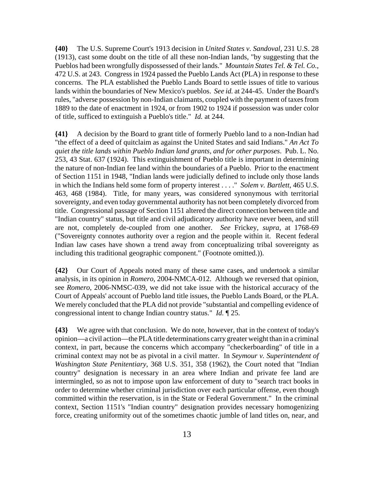**{40}** The U.S. Supreme Court's 1913 decision in *United States v. Sandoval*, 231 U.S. 28 (1913), cast some doubt on the title of all these non-Indian lands, "by suggesting that the Pueblos had been wrongfully dispossessed of their lands." *Mountain States Tel. & Tel. Co.*, 472 U.S. at 243. Congress in 1924 passed the Pueblo Lands Act (PLA) in response to these concerns. The PLA established the Pueblo Lands Board to settle issues of title to various lands within the boundaries of New Mexico's pueblos. *See id.* at 244-45. Under the Board's rules, "adverse possession by non-Indian claimants, coupled with the payment of taxes from 1889 to the date of enactment in 1924, or from 1902 to 1924 if possession was under color of title, sufficed to extinguish a Pueblo's title." *Id.* at 244.

**{41}** A decision by the Board to grant title of formerly Pueblo land to a non-Indian had "the effect of a deed of quitclaim as against the United States and said Indians." *An Act To quiet the title lands within Pueblo Indian land grants, and for other purposes*. Pub. L. No. 253, 43 Stat. 637 (1924). This extinguishment of Pueblo title is important in determining the nature of non-Indian fee land within the boundaries of a Pueblo. Prior to the enactment of Section 1151 in 1948, "Indian lands were judicially defined to include only those lands in which the Indians held some form of property interest . . . ." *Solem v. Bartlett*, 465 U.S. 463, 468 (1984). Title, for many years, was considered synonymous with territorial sovereignty, and even today governmental authority has not been completely divorced from title. Congressional passage of Section 1151 altered the direct connection between title and "Indian country" status, but title and civil adjudicatory authority have never been, and still are not, completely de-coupled from one another. *See* Frickey, *supra*, at 1768-69 ("Sovereignty connotes authority over a region and the people within it. Recent federal Indian law cases have shown a trend away from conceptualizing tribal sovereignty as including this traditional geographic component." (Footnote omitted.)).

**{42}** Our Court of Appeals noted many of these same cases, and undertook a similar analysis, in its opinion in *Romero*, 2004-NMCA-012. Although we reversed that opinion, see *Romero*, 2006-NMSC-039, we did not take issue with the historical accuracy of the Court of Appeals' account of Pueblo land title issues, the Pueblo Lands Board, or the PLA. We merely concluded that the PLA did not provide "substantial and compelling evidence of congressional intent to change Indian country status." *Id.* ¶ 25.

**{43}** We agree with that conclusion. We do note, however, that in the context of today's opinion—a civil action—the PLA title determinations carry greater weight than in a criminal context, in part, because the concerns which accompany "checkerboarding" of title in a criminal context may not be as pivotal in a civil matter. In *Seymour v. Superintendent of Washington State Penitentiary*, 368 U.S. 351, 358 (1962), the Court noted that "Indian country" designation is necessary in an area where Indian and private fee land are intermingled, so as not to impose upon law enforcement of duty to "search tract books in order to determine whether criminal jurisdiction over each particular offense, even though committed within the reservation, is in the State or Federal Government." In the criminal context, Section 1151's "Indian country" designation provides necessary homogenizing force, creating uniformity out of the sometimes chaotic jumble of land titles on, near, and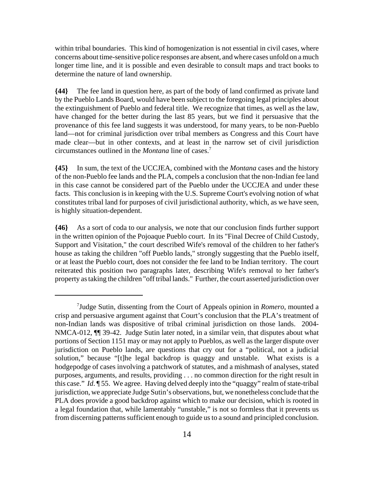within tribal boundaries. This kind of homogenization is not essential in civil cases, where concerns about time-sensitive police responses are absent, and where cases unfold on a much longer time line, and it is possible and even desirable to consult maps and tract books to determine the nature of land ownership.

**{44}** The fee land in question here, as part of the body of land confirmed as private land by the Pueblo Lands Board, would have been subject to the foregoing legal principles about the extinguishment of Pueblo and federal title. We recognize that times, as well as the law, have changed for the better during the last 85 years, but we find it persuasive that the provenance of this fee land suggests it was understood, for many years, to be non-Pueblo land—not for criminal jurisdiction over tribal members as Congress and this Court have made clear—but in other contexts, and at least in the narrow set of civil jurisdiction circumstances outlined in the *Montana* line of cases.7

**{45}** In sum, the text of the UCCJEA, combined with the *Montana* cases and the history of the non-Pueblo fee lands and the PLA, compels a conclusion that the non-Indian fee land in this case cannot be considered part of the Pueblo under the UCCJEA and under these facts. This conclusion is in keeping with the U.S. Supreme Court's evolving notion of what constitutes tribal land for purposes of civil jurisdictional authority, which, as we have seen, is highly situation-dependent.

**{46}** As a sort of coda to our analysis, we note that our conclusion finds further support in the written opinion of the Pojoaque Pueblo court. In its "Final Decree of Child Custody, Support and Visitation," the court described Wife's removal of the children to her father's house as taking the children "off Pueblo lands," strongly suggesting that the Pueblo itself, or at least the Pueblo court, does not consider the fee land to be Indian territory. The court reiterated this position two paragraphs later, describing Wife's removal to her father's property as taking the children "off tribal lands." Further, the court asserted jurisdiction over

<sup>7</sup> Judge Sutin, dissenting from the Court of Appeals opinion in *Romero*, mounted a crisp and persuasive argument against that Court's conclusion that the PLA's treatment of non-Indian lands was dispositive of tribal criminal jurisdiction on those lands. 2004- NMCA-012, ¶¶ 39-42. Judge Sutin later noted, in a similar vein, that disputes about what portions of Section 1151 may or may not apply to Pueblos, as well as the larger dispute over jurisdiction on Pueblo lands, are questions that cry out for a "political, not a judicial solution," because "[t]he legal backdrop is quaggy and unstable. What exists is a hodgepodge of cases involving a patchwork of statutes, and a mishmash of analyses, stated purposes, arguments, and results, providing . . . no common direction for the right result in this case." *Id*. ¶ 55. We agree. Having delved deeply into the "quaggy" realm of state-tribal jurisdiction, we appreciate Judge Sutin's observations, but, we nonetheless conclude that the PLA does provide a good backdrop against which to make our decision, which is rooted in a legal foundation that, while lamentably "unstable," is not so formless that it prevents us from discerning patterns sufficient enough to guide us to a sound and principled conclusion.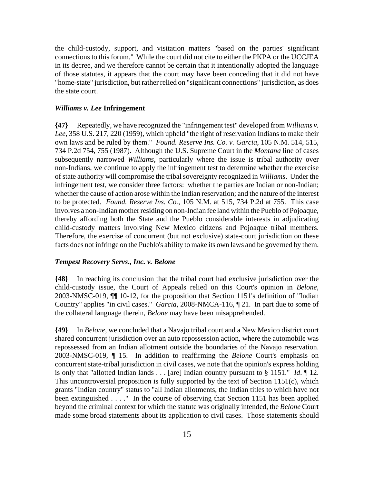the child-custody, support, and visitation matters "based on the parties' significant connections to this forum." While the court did not cite to either the PKPA or the UCCJEA in its decree, and we therefore cannot be certain that it intentionally adopted the language of those statutes, it appears that the court may have been conceding that it did not have "home-state" jurisdiction, but rather relied on "significant connections" jurisdiction, as does the state court.

# *Williams v. Lee* **Infringement**

**{47}** Repeatedly, we have recognized the "infringement test" developed from *Williams v. Lee*, 358 U.S. 217, 220 (1959), which upheld "the right of reservation Indians to make their own laws and be ruled by them." *Found. Reserve Ins. Co. v. Garcia*, 105 N.M. 514, 515, 734 P.2d 754, 755 (1987). Although the U.S. Supreme Court in the *Montana* line of cases subsequently narrowed *Williams*, particularly where the issue is tribal authority over non-Indians, we continue to apply the infringement test to determine whether the exercise of state authority will compromise the tribal sovereignty recognized in *Williams*. Under the infringement test, we consider three factors: whether the parties are Indian or non-Indian; whether the cause of action arose within the Indian reservation; and the nature of the interest to be protected. *Found. Reserve Ins. Co.*, 105 N.M. at 515, 734 P.2d at 755. This case involves a non-Indian mother residing on non-Indian fee land within the Pueblo of Pojoaque, thereby affording both the State and the Pueblo considerable interests in adjudicating child-custody matters involving New Mexico citizens and Pojoaque tribal members. Therefore, the exercise of concurrent (but not exclusive) state-court jurisdiction on these facts does not infringe on the Pueblo's ability to make its own laws and be governed by them.

#### *Tempest Recovery Servs., Inc. v. Belone*

**{48}** In reaching its conclusion that the tribal court had exclusive jurisdiction over the child-custody issue, the Court of Appeals relied on this Court's opinion in *Belone*, 2003-NMSC-019, ¶¶ 10-12, for the proposition that Section 1151's definition of "Indian Country" applies "in civil cases." *Garcia*, 2008-NMCA-116, ¶ 21. In part due to some of the collateral language therein, *Belone* may have been misapprehended.

**{49}** In *Belone*, we concluded that a Navajo tribal court and a New Mexico district court shared concurrent jurisdiction over an auto repossession action, where the automobile was repossessed from an Indian allotment outside the boundaries of the Navajo reservation. 2003-NMSC-019, ¶ 15. In addition to reaffirming the *Belone* Court's emphasis on concurrent state-tribal jurisdiction in civil cases, we note that the opinion's express holding is only that "allotted Indian lands . . . [are] Indian country pursuant to § 1151." *Id*. ¶ 12. This uncontroversial proposition is fully supported by the text of Section 1151(c), which grants "Indian country" status to "all Indian allotments, the Indian titles to which have not been extinguished . . . ." In the course of observing that Section 1151 has been applied beyond the criminal context for which the statute was originally intended, the *Belone* Court made some broad statements about its application to civil cases. Those statements should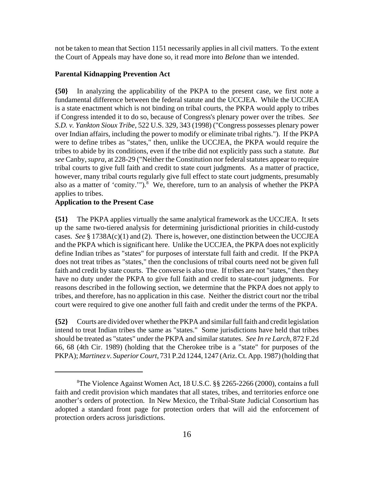not be taken to mean that Section 1151 necessarily applies in all civil matters. To the extent the Court of Appeals may have done so, it read more into *Belone* than we intended.

# **Parental Kidnapping Prevention Act**

**{50}** In analyzing the applicability of the PKPA to the present case, we first note a fundamental difference between the federal statute and the UCCJEA. While the UCCJEA is a state enactment which is not binding on tribal courts, the PKPA would apply to tribes if Congress intended it to do so, because of Congress's plenary power over the tribes. *See S.D. v. Yankton Sioux Tribe*, 522 U.S. 329, 343 (1998) ("Congress possesses plenary power over Indian affairs, including the power to modify or eliminate tribal rights."). If the PKPA were to define tribes as "states," then, unlike the UCCJEA, the PKPA would require the tribes to abide by its conditions, even if the tribe did not explicitly pass such a statute. *But see* Canby, *supra*, at 228-29 ("Neither the Constitution nor federal statutes appear to require tribal courts to give full faith and credit to state court judgments. As a matter of practice, however, many tribal courts regularly give full effect to state court judgments, presumably also as a matter of 'comity.'").<sup>8</sup> We, therefore, turn to an analysis of whether the PKPA applies to tribes.

# **Application to the Present Case**

**{51}** The PKPA applies virtually the same analytical framework as the UCCJEA. It sets up the same two-tiered analysis for determining jurisdictional priorities in child-custody cases. *See* § 1738A(c)(1) and (2). There is, however, one distinction between the UCCJEA and the PKPA which is significant here. Unlike the UCCJEA, the PKPA does not explicitly define Indian tribes as "states" for purposes of interstate full faith and credit. If the PKPA does not treat tribes as "states," then the conclusions of tribal courts need not be given full faith and credit by state courts. The converse is also true. If tribes are not "states," then they have no duty under the PKPA to give full faith and credit to state-court judgments. For reasons described in the following section, we determine that the PKPA does not apply to tribes, and therefore, has no application in this case. Neither the district court nor the tribal court were required to give one another full faith and credit under the terms of the PKPA.

**{52}** Courts are divided over whether the PKPA and similar full faith and credit legislation intend to treat Indian tribes the same as "states." Some jurisdictions have held that tribes should be treated as "states" under the PKPA and similar statutes. *See In re Larch*, 872 F.2d 66, 68 (4th Cir. 1989) (holding that the Cherokee tribe is a "state" for purposes of the PKPA); *Martinez v. Superior Court*, 731 P.2d 1244, 1247 (Ariz. Ct. App. 1987) (holding that

<sup>8</sup> The Violence Against Women Act, 18 U.S.C. §§ 2265-2266 (2000), contains a full faith and credit provision which mandates that all states, tribes, and territories enforce one another's orders of protection. In New Mexico, the Tribal-State Judicial Consortium has adopted a standard front page for protection orders that will aid the enforcement of protection orders across jurisdictions.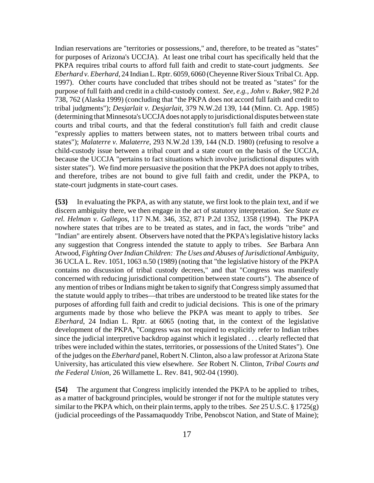Indian reservations are "territories or possessions," and, therefore, to be treated as "states" for purposes of Arizona's UCCJA). At least one tribal court has specifically held that the PKPA requires tribal courts to afford full faith and credit to state-court judgments. *See Eberhard v. Eberhard*, 24 Indian L. Rptr. 6059, 6060 (Cheyenne River Sioux Tribal Ct. App. 1997). Other courts have concluded that tribes should not be treated as "states" for the purpose of full faith and credit in a child-custody context. *See, e.g., John v. Baker*, 982 P.2d 738, 762 (Alaska 1999) (concluding that "the PKPA does not accord full faith and credit to tribal judgments"); *Desjarlait v. Desjarlait*, 379 N.W.2d 139, 144 (Minn. Ct. App. 1985) (determining that Minnesota's UCCJA does not apply to jurisdictional disputes between state courts and tribal courts, and that the federal constitution's full faith and credit clause "expressly applies to matters between states, not to matters between tribal courts and states"); *Malaterre v. Malaterre*, 293 N.W.2d 139, 144 (N.D. 1980) (refusing to resolve a child-custody issue between a tribal court and a state court on the basis of the UCCJA, because the UCCJA "pertains to fact situations which involve jurisdictional disputes with sister states"). We find more persuasive the position that the PKPA does not apply to tribes, and therefore, tribes are not bound to give full faith and credit, under the PKPA, to state-court judgments in state-court cases.

**{53}** In evaluating the PKPA, as with any statute, we first look to the plain text, and if we discern ambiguity there, we then engage in the act of statutory interpretation. *See State ex rel. Helman v. Gallegos*, 117 N.M. 346, 352, 871 P.2d 1352, 1358 (1994). The PKPA nowhere states that tribes are to be treated as states, and in fact, the words "tribe" and "Indian" are entirely absent. Observers have noted that the PKPA's legislative history lacks any suggestion that Congress intended the statute to apply to tribes. *See* Barbara Ann Atwood, *Fighting Over Indian Children: The Uses and Abuses of Jurisdictional Ambiguity,* 36 UCLA L. Rev. 1051, 1063 n.50 (1989) (noting that "the legislative history of the PKPA contains no discussion of tribal custody decrees," and that "Congress was manifestly concerned with reducing jurisdictional competition between state courts"). The absence of any mention of tribes or Indians might be taken to signify that Congress simply assumed that the statute would apply to tribes—that tribes are understood to be treated like states for the purposes of affording full faith and credit to judicial decisions. This is one of the primary arguments made by those who believe the PKPA was meant to apply to tribes. *See Eberhard*, 24 Indian L. Rptr. at 6065 (noting that, in the context of the legislative development of the PKPA, "Congress was not required to explicitly refer to Indian tribes since the judicial interpretive backdrop against which it legislated . . . clearly reflected that tribes were included within the states, territories, or possessions of the United States"). One of the judges on the *Eberhard* panel, Robert N. Clinton, also a law professor at Arizona State University, has articulated this view elsewhere. *See* Robert N. Clinton, *Tribal Courts and the Federal Union,* 26 Willamette L. Rev. 841, 902-04 (1990).

**{54}** The argument that Congress implicitly intended the PKPA to be applied to tribes, as a matter of background principles, would be stronger if not for the multiple statutes very similar to the PKPA which, on their plain terms, apply to the tribes. *See* 25 U.S.C. § 1725(g) (judicial proceedings of the Passamaquoddy Tribe, Penobscot Nation, and State of Maine);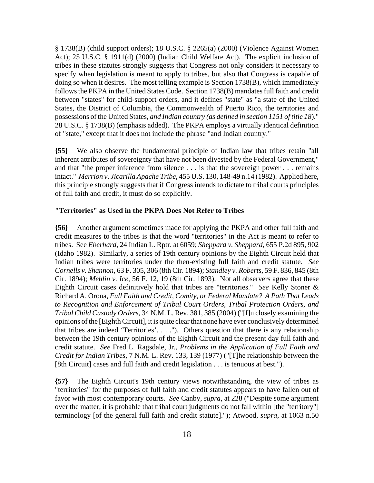§ 1738(B) (child support orders); 18 U.S.C. § 2265(a) (2000) (Violence Against Women Act); 25 U.S.C. § 1911(d) (2000) (Indian Child Welfare Act). The explicit inclusion of tribes in these statutes strongly suggests that Congress not only considers it necessary to specify when legislation is meant to apply to tribes, but also that Congress is capable of doing so when it desires. The most telling example is Section 1738(B), which immediately follows the PKPA in the United States Code. Section 1738(B) mandates full faith and credit between "states" for child-support orders, and it defines "state" as "a state of the United States, the District of Columbia, the Commonwealth of Puerto Rico, the territories and possessions of the United States, *and Indian country (as defined in section 1151 of title 18*)." 28 U.S.C. § 1738(B) (emphasis added). The PKPA employs a virtually identical definition of "state," except that it does not include the phrase "and Indian country."

**{55}** We also observe the fundamental principle of Indian law that tribes retain "all inherent attributes of sovereignty that have not been divested by the Federal Government," and that "the proper inference from silence . . . is that the sovereign power . . . remains intact." *Merrion v. Jicarilla Apache Tribe*, 455 U.S. 130, 148-49 n.14 (1982). Applied here, this principle strongly suggests that if Congress intends to dictate to tribal courts principles of full faith and credit, it must do so explicitly.

# **"Territories" as Used in the PKPA Does Not Refer to Tribes**

**{56}** Another argument sometimes made for applying the PKPA and other full faith and credit measures to the tribes is that the word "territories" in the Act is meant to refer to tribes. See *Eberhard*, 24 Indian L. Rptr. at 6059; *Sheppard v. Sheppard*, 655 P.2d 895, 902 (Idaho 1982). Similarly, a series of 19th century opinions by the Eighth Circuit held that Indian tribes were territories under the then-existing full faith and credit statute. *See Cornells v. Shannon*, 63 F. 305, 306 (8th Cir. 1894); *Standley v. Roberts*, 59 F. 836, 845 (8th Cir. 1894); *Mehlin v. Ice*, 56 F. 12, 19 (8th Cir. 1893). Not all observers agree that these Eighth Circuit cases definitively hold that tribes are "territories." *See* Kelly Stoner & Richard A. Orona, *Full Faith and Credit, Comity, or Federal Mandate? A Path That Leads to Recognition and Enforcement of Tribal Court Orders, Tribal Protection Orders, and Tribal Child Custody Orders*, 34 N.M. L. Rev. 381, 385 (2004) ("[I]n closely examining the opinions of the [Eighth Circuit], it is quite clear that none have ever conclusively determined that tribes are indeed 'Territories'. . . ."). Others question that there is any relationship between the 19th century opinions of the Eighth Circuit and the present day full faith and credit statute. *See* Fred L. Ragsdale, Jr., *Problems in the Application of Full Faith and Credit for Indian Tribes,* 7 N.M. L. Rev. 133, 139 (1977) ("[T]he relationship between the [8th Circuit] cases and full faith and credit legislation . . . is tenuous at best.").

**{57}** The Eighth Circuit's 19th century views notwithstanding, the view of tribes as "territories" for the purposes of full faith and credit statutes appears to have fallen out of favor with most contemporary courts. *See* Canby, *supra*, at 228 ("Despite some argument over the matter, it is probable that tribal court judgments do not fall within [the "territory"] terminology [of the general full faith and credit statute]."); Atwood, *supra*, at 1063 n.50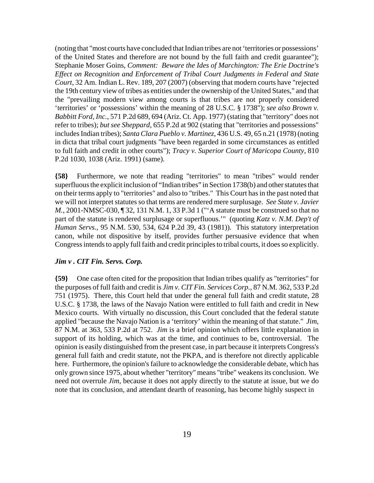(noting that "most courts have concluded that Indian tribes are not 'territories or possessions' of the United States and therefore are not bound by the full faith and credit guarantee"); Stephanie Moser Goins, *Comment: Beware the Ides of Marchington: The Erie Doctrine's Effect on Recognition and Enforcement of Tribal Court Judgments in Federal and State Court*, 32 Am. Indian L. Rev. 189, 207 (2007) (observing that modern courts have "rejected the 19th century view of tribes as entities under the ownership of the United States," and that the "prevailing modern view among courts is that tribes are not properly considered 'territories' or 'possessions' within the meaning of 28 U.S.C. § 1738"); *see also Brown v. Babbitt Ford, Inc.*, 571 P.2d 689, 694 (Ariz. Ct. App. 1977) (stating that "territory" does not refer to tribes); *but see Sheppard*, 655 P.2d at 902 (stating that "territories and possessions" includes Indian tribes); *Santa Clara Pueblo v. Martinez*, 436 U.S. 49, 65 n.21 (1978) (noting in dicta that tribal court judgments "have been regarded in some circumstances as entitled to full faith and credit in other courts"); *Tracy v. Superior Court of Maricopa County*, 810 P.2d 1030, 1038 (Ariz. 1991) (same).

**{58}** Furthermore, we note that reading "territories" to mean "tribes" would render superfluous the explicit inclusion of "Indian tribes" in Section 1738(b) and other statutes that on their terms apply to "territories" and also to "tribes." This Court has in the past noted that we will not interpret statutes so that terms are rendered mere surplusage. *See State v. Javier M.*, 2001-NMSC-030, 132, 131 N.M. 1, 33 P.3d 1 ("A statute must be construed so that no part of the statute is rendered surplusage or superfluous.'" (quoting *Katz v. N.M. Dep't of Human Servs.*, 95 N.M. 530, 534, 624 P.2d 39, 43 (1981)). This statutory interpretation canon, while not dispositive by itself, provides further persuasive evidence that when Congress intends to apply full faith and credit principles to tribal courts, it does so explicitly.

# *Jim v . CIT Fin. Servs. Corp.*

**{59}** One case often cited for the proposition that Indian tribes qualify as "territories" for the purposes of full faith and credit is *Jim v. CIT Fin. Services Corp.*, 87 N.M. 362, 533 P.2d 751 (1975). There, this Court held that under the general full faith and credit statute, 28 U.S.C. § 1738, the laws of the Navajo Nation were entitled to full faith and credit in New Mexico courts. With virtually no discussion, this Court concluded that the federal statute applied "because the Navajo Nation is a 'territory' within the meaning of that statute." *Jim*, 87 N.M. at 363, 533 P.2d at 752. *Jim* is a brief opinion which offers little explanation in support of its holding, which was at the time, and continues to be, controversial. The opinion is easily distinguished from the present case, in part because it interprets Congress's general full faith and credit statute, not the PKPA, and is therefore not directly applicable here. Furthermore, the opinion's failure to acknowledge the considerable debate, which has only grown since 1975, about whether "territory" means "tribe" weakens its conclusion. We need not overrule *Jim*, because it does not apply directly to the statute at issue, but we do note that its conclusion, and attendant dearth of reasoning, has become highly suspect in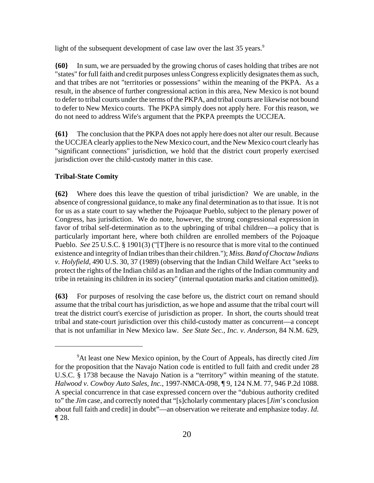light of the subsequent development of case law over the last  $35$  years.<sup>9</sup>

**{60}** In sum, we are persuaded by the growing chorus of cases holding that tribes are not "states" for full faith and credit purposes unless Congress explicitly designates them as such, and that tribes are not "territories or possessions" within the meaning of the PKPA. As a result, in the absence of further congressional action in this area, New Mexico is not bound to defer to tribal courts under the terms of the PKPA, and tribal courts are likewise not bound to defer to New Mexico courts. The PKPA simply does not apply here. For this reason, we do not need to address Wife's argument that the PKPA preempts the UCCJEA.

**{61}** The conclusion that the PKPA does not apply here does not alter our result. Because the UCCJEA clearly applies to the New Mexico court, and the New Mexico court clearly has "significant connections" jurisdiction, we hold that the district court properly exercised jurisdiction over the child-custody matter in this case.

# **Tribal-State Comity**

**{62}** Where does this leave the question of tribal jurisdiction? We are unable, in the absence of congressional guidance, to make any final determination as to that issue. It is not for us as a state court to say whether the Pojoaque Pueblo, subject to the plenary power of Congress, has jurisdiction. We do note, however, the strong congressional expression in favor of tribal self-determination as to the upbringing of tribal children—a policy that is particularly important here, where both children are enrolled members of the Pojoaque Pueblo. *See* 25 U.S.C. § 1901(3) ("[T]here is no resource that is more vital to the continued existence and integrity of Indian tribes than their children."); *Miss. Band of Choctaw Indians v. Holyfield*, 490 U.S. 30, 37 (1989) (observing that the Indian Child Welfare Act "seeks to protect the rights of the Indian child as an Indian and the rights of the Indian community and tribe in retaining its children in its society" (internal quotation marks and citation omitted)).

**{63}** For purposes of resolving the case before us, the district court on remand should assume that the tribal court has jurisdiction, as we hope and assume that the tribal court will treat the district court's exercise of jurisdiction as proper. In short, the courts should treat tribal and state-court jurisdiction over this child-custody matter as concurrent—a concept that is not unfamiliar in New Mexico law. *See State Sec., Inc. v. Anderson*, 84 N.M. 629,

<sup>9</sup> At least one New Mexico opinion, by the Court of Appeals, has directly cited *Jim* for the proposition that the Navajo Nation code is entitled to full faith and credit under 28 U.S.C. § 1738 because the Navajo Nation is a "territory" within meaning of the statute. *Halwood v. Cowboy Auto Sales, Inc.*, 1997-NMCA-098, ¶ 9, 124 N.M. 77, 946 P.2d 1088. A special concurrence in that case expressed concern over the "dubious authority credited to" the *Jim* case, and correctly noted that "[s]cholarly commentary places [*Jim*'s conclusion about full faith and credit] in doubt"—an observation we reiterate and emphasize today. *Id*. ¶ 28.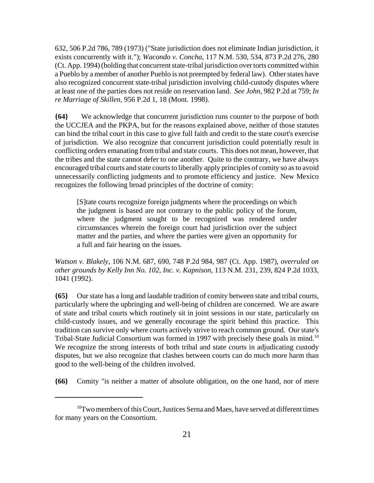632, 506 P.2d 786, 789 (1973) ("State jurisdiction does not eliminate Indian jurisdiction, it exists concurrently with it."); *Wacondo v. Concha*, 117 N.M. 530, 534, 873 P.2d 276, 280 (Ct. App. 1994) (holding that concurrent state-tribal jurisdiction over torts committed within a Pueblo by a member of another Pueblo is not preempted by federal law). Other states have also recognized concurrent state-tribal jurisdiction involving child-custody disputes where at least one of the parties does not reside on reservation land. *See John*, 982 P.2d at 759; *In re Marriage of Skillen*, 956 P.2d 1, 18 (Mont. 1998).

**{64}** We acknowledge that concurrent jurisdiction runs counter to the purpose of both the UCCJEA and the PKPA, but for the reasons explained above, neither of those statutes can bind the tribal court in this case to give full faith and credit to the state court's exercise of jurisdiction. We also recognize that concurrent jurisdiction could potentially result in conflicting orders emanating from tribal and state courts. This does not mean, however, that the tribes and the state cannot defer to one another. Quite to the contrary, we have always encouraged tribal courts and state courts to liberally apply principles of comity so as to avoid unnecessarily conflicting judgments and to promote efficiency and justice. New Mexico recognizes the following broad principles of the doctrine of comity:

[S]tate courts recognize foreign judgments where the proceedings on which the judgment is based are not contrary to the public policy of the forum, where the judgment sought to be recognized was rendered under circumstances wherein the foreign court had jurisdiction over the subject matter and the parties, and where the parties were given an opportunity for a full and fair hearing on the issues.

*Watson v. Blakely*, 106 N.M. 687, 690, 748 P.2d 984, 987 (Ct. App. 1987), *overruled on other grounds by Kelly Inn No. 102, Inc. v. Kapnison*, 113 N.M. 231, 239, 824 P.2d 1033, 1041 (1992).

**{65}** Our state has a long and laudable tradition of comity between state and tribal courts, particularly where the upbringing and well-being of children are concerned. We are aware of state and tribal courts which routinely sit in joint sessions in our state, particularly on child-custody issues, and we generally encourage the spirit behind this practice. This tradition can survive only where courts actively strive to reach common ground. Our state's Tribal-State Judicial Consortium was formed in 1997 with precisely these goals in mind.<sup>10</sup> We recognize the strong interests of both tribal and state courts in adjudicating custody disputes, but we also recognize that clashes between courts can do much more harm than good to the well-being of the children involved.

**{66}** Comity "is neither a matter of absolute obligation, on the one hand, nor of mere

<sup>&</sup>lt;sup>10</sup>Two members of this Court, Justices Serna and Maes, have served at different times for many years on the Consortium.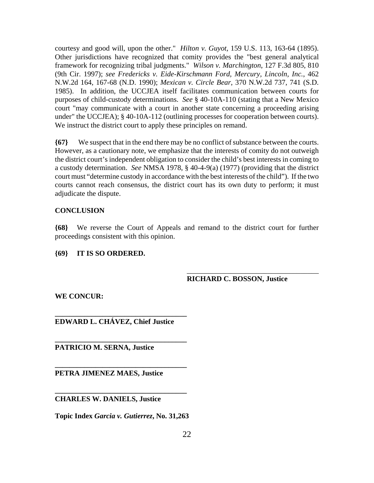courtesy and good will, upon the other." *Hilton v. Guyot*, 159 U.S. 113, 163-64 (1895). Other jurisdictions have recognized that comity provides the "best general analytical framework for recognizing tribal judgments." *Wilson v. Marchington*, 127 F.3d 805, 810 (9th Cir. 1997); *see Fredericks v. Eide-Kirschmann Ford, Mercury, Lincoln, Inc.*, 462 N.W.2d 164, 167-68 (N.D. 1990); *Mexican v. Circle Bear*, 370 N.W.2d 737, 741 (S.D. 1985). In addition, the UCCJEA itself facilitates communication between courts for purposes of child-custody determinations. *See* § 40-10A-110 (stating that a New Mexico court "may communicate with a court in another state concerning a proceeding arising under" the UCCJEA); § 40-10A-112 (outlining processes for cooperation between courts). We instruct the district court to apply these principles on remand.

**{67}** We suspect that in the end there may be no conflict of substance between the courts. However, as a cautionary note, we emphasize that the interests of comity do not outweigh the district court's independent obligation to consider the child's best interests in coming to a custody determination. *See* NMSA 1978, § 40-4-9(a) (1977) (providing that the district court must "determine custody in accordance with the best interests of the child"). If the two courts cannot reach consensus, the district court has its own duty to perform; it must adjudicate the dispute.

# **CONCLUSION**

**{68}** We reverse the Court of Appeals and remand to the district court for further proceedings consistent with this opinion.

# **{69} IT IS SO ORDERED.**

# **RICHARD C. BOSSON, Justice**

\_\_\_\_\_\_\_\_\_\_\_\_\_\_\_\_\_\_\_\_\_\_\_\_\_\_\_\_\_\_\_\_\_\_\_\_

**WE CONCUR:**

**EDWARD L. CHÁVEZ, Chief Justice**

**\_\_\_\_\_\_\_\_\_\_\_\_\_\_\_\_\_\_\_\_\_\_\_\_\_\_\_\_\_\_\_\_\_\_\_\_** 

**\_\_\_\_\_\_\_\_\_\_\_\_\_\_\_\_\_\_\_\_\_\_\_\_\_\_\_\_\_\_\_\_\_\_\_\_**

**\_\_\_\_\_\_\_\_\_\_\_\_\_\_\_\_\_\_\_\_\_\_\_\_\_\_\_\_\_\_\_\_\_\_\_\_**

**\_\_\_\_\_\_\_\_\_\_\_\_\_\_\_\_\_\_\_\_\_\_\_\_\_\_\_\_\_\_\_\_\_\_\_\_**

**PATRICIO M. SERNA, Justice**

**PETRA JIMENEZ MAES, Justice**

# **CHARLES W. DANIELS, Justice**

**Topic Index** *Garcia v. Gutierrez***, No. 31,263**